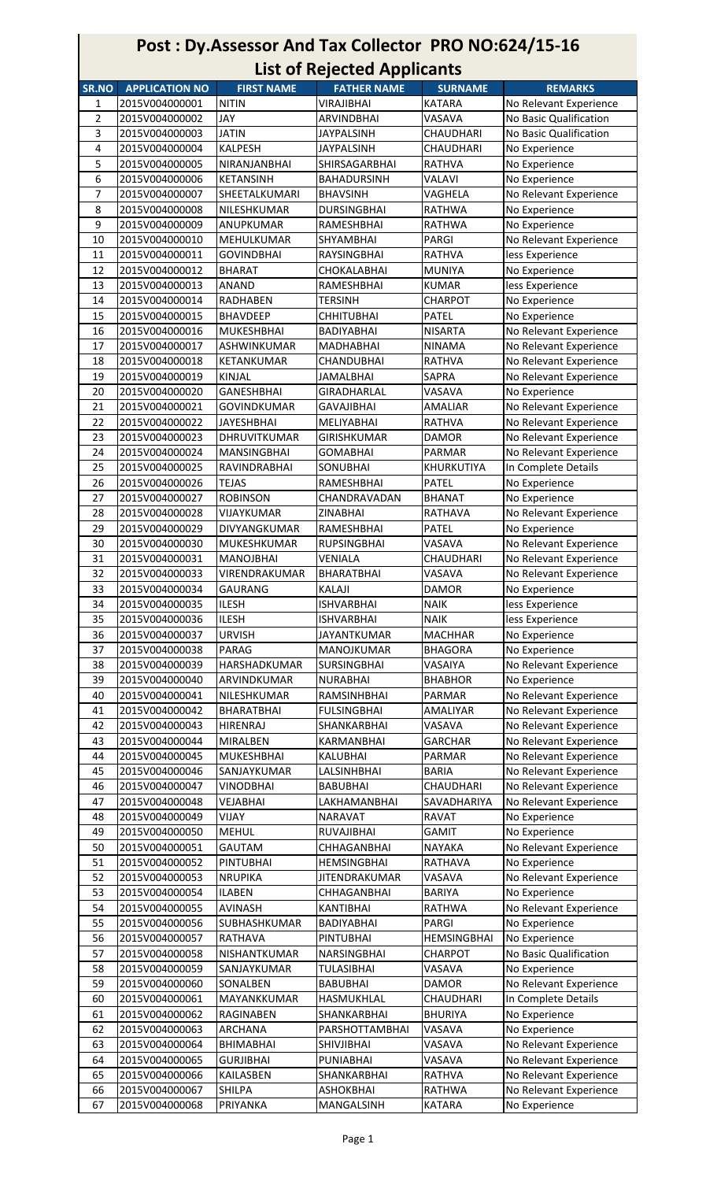## Post : Dy.Assessor And Tax Collector PRO NO:624/15-16 List of Rejected Applicants

| SR.NO          | <b>APPLICATION NO</b> | <b>FIRST NAME</b>   | <b>FATHER NAME</b>   | <b>SURNAME</b>     | <b>REMARKS</b>         |
|----------------|-----------------------|---------------------|----------------------|--------------------|------------------------|
| 1              | 2015V004000001        | <b>NITIN</b>        | VIRAJIBHAI           | <b>KATARA</b>      | No Relevant Experience |
| $\overline{2}$ | 2015V004000002        | JAY                 | ARVINDBHAI           | VASAVA             | No Basic Qualification |
| 3              | 2015V004000003        | <b>JATIN</b>        | <b>JAYPALSINH</b>    | CHAUDHARI          | No Basic Qualification |
| 4              | 2015V004000004        | <b>KALPESH</b>      | <b>JAYPALSINH</b>    | CHAUDHARI          | No Experience          |
| 5              | 2015V004000005        | NIRANJANBHAI        | SHIRSAGARBHAI        | <b>RATHVA</b>      | No Experience          |
| 6              | 2015V004000006        | <b>KETANSINH</b>    | <b>BAHADURSINH</b>   | <b>VALAVI</b>      | No Experience          |
| $\overline{7}$ | 2015V004000007        | SHEETALKUMARI       | <b>BHAVSINH</b>      | VAGHELA            | No Relevant Experience |
| 8              | 2015V004000008        | NILESHKUMAR         | <b>DURSINGBHAI</b>   | RATHWA             | No Experience          |
| 9              | 2015V004000009        | ANUPKUMAR           | RAMESHBHAI           | <b>RATHWA</b>      | No Experience          |
| 10             | 2015V004000010        | MEHULKUMAR          | SHYAMBHAI            | PARGI              | No Relevant Experience |
|                |                       |                     |                      |                    |                        |
| 11             | 2015V004000011        | <b>GOVINDBHAI</b>   | RAYSINGBHAI          | <b>RATHVA</b>      | less Experience        |
| 12             | 2015V004000012        | <b>BHARAT</b>       | CHOKALABHAI          | <b>MUNIYA</b>      | No Experience          |
| 13             | 2015V004000013        | <b>ANAND</b>        | RAMESHBHAI           | <b>KUMAR</b>       | less Experience        |
| 14             | 2015V004000014        | RADHABEN            | TERSINH              | <b>CHARPOT</b>     | No Experience          |
| 15             | 2015V004000015        | <b>BHAVDEEP</b>     | <b>CHHITUBHAI</b>    | PATEL              | No Experience          |
| 16             | 2015V004000016        | <b>MUKESHBHAI</b>   | <b>BADIYABHAI</b>    | <b>NISARTA</b>     | No Relevant Experience |
| 17             | 2015V004000017        | <b>ASHWINKUMAR</b>  | <b>MADHABHAI</b>     | <b>NINAMA</b>      | No Relevant Experience |
| 18             | 2015V004000018        | KETANKUMAR          | CHANDUBHAI           | <b>RATHVA</b>      | No Relevant Experience |
| 19             | 2015V004000019        | <b>KINJAL</b>       | <b>JAMALBHAI</b>     | SAPRA              | No Relevant Experience |
| 20             | 2015V004000020        | GANESHBHAI          | GIRADHARLAL          | VASAVA             | No Experience          |
| 21             | 2015V004000021        | <b>GOVINDKUMAR</b>  | GAVAJIBHAI           | <b>AMALIAR</b>     | No Relevant Experience |
|                |                       |                     |                      |                    |                        |
| 22             | 2015V004000022        | <b>JAYESHBHAI</b>   | <b>MELIYABHAI</b>    | <b>RATHVA</b>      | No Relevant Experience |
| 23             | 2015V004000023        | DHRUVITKUMAR        | <b>GIRISHKUMAR</b>   | <b>DAMOR</b>       | No Relevant Experience |
| 24             | 2015V004000024        | <b>MANSINGBHAI</b>  | <b>GOMABHAI</b>      | <b>PARMAR</b>      | No Relevant Experience |
| 25             | 2015V004000025        | RAVINDRABHAI        | <b>SONUBHAI</b>      | KHURKUTIYA         | In Complete Details    |
| 26             | 2015V004000026        | <b>TEJAS</b>        | RAMESHBHAI           | PATEL              | No Experience          |
| 27             | 2015V004000027        | <b>ROBINSON</b>     | CHANDRAVADAN         | <b>BHANAT</b>      | No Experience          |
| 28             | 2015V004000028        | VIJAYKUMAR          | <b>ZINABHAI</b>      | RATHAVA            | No Relevant Experience |
| 29             | 2015V004000029        | DIVYANGKUMAR        | RAMESHBHAI           | <b>PATEL</b>       | No Experience          |
| 30             | 2015V004000030        | <b>MUKESHKUMAR</b>  | <b>RUPSINGBHAI</b>   | <b>VASAVA</b>      | No Relevant Experience |
| 31             | 2015V004000031        | <b>MANOJBHAI</b>    | <b>VENIALA</b>       | CHAUDHARI          | No Relevant Experience |
| 32             | 2015V004000033        | VIRENDRAKUMAR       | BHARATBHAI           | VASAVA             | No Relevant Experience |
| 33             | 2015V004000034        | <b>GAURANG</b>      | KALAJI               | <b>DAMOR</b>       | No Experience          |
|                | 2015V004000035        |                     | <b>ISHVARBHAI</b>    |                    |                        |
| 34             |                       | <b>ILESH</b>        |                      | <b>NAIK</b>        | less Experience        |
| 35             | 2015V004000036        | <b>ILESH</b>        | <b>ISHVARBHAI</b>    | <b>NAIK</b>        | less Experience        |
| 36             | 2015V004000037        | <b>URVISH</b>       | <b>JAYANTKUMAR</b>   | <b>MACHHAR</b>     | No Experience          |
| 37             | 2015V004000038        | <b>PARAG</b>        | <b>MANOJKUMAR</b>    | <b>BHAGORA</b>     | No Experience          |
| 38             | 2015V004000039        | HARSHADKUMAR        | <b>SURSINGBHAI</b>   | VASAIYA            | No Relevant Experience |
| 39             | 2015V004000040        | ARVINDKUMAR         | <b>NURABHAI</b>      | <b>BHABHOR</b>     | No Experience          |
| 40             | 2015V004000041        | NILESHKUMAR         | RAMSINHBHAI          | PARMAR             | No Relevant Experience |
| 41             | 2015V004000042        | <b>BHARATBHAI</b>   | <b>FULSINGBHAI</b>   | AMALIYAR           | No Relevant Experience |
| 42             | 2015V004000043        | <b>HIRENRAJ</b>     | SHANKARBHAI          | VASAVA             | No Relevant Experience |
| 43             | 2015V004000044        | MIRALBEN            | <b>KARMANBHAI</b>    | <b>GARCHAR</b>     | No Relevant Experience |
| 44             | 2015V004000045        | <b>MUKESHBHAI</b>   | KALUBHAI             | PARMAR             | No Relevant Experience |
| 45             | 2015V004000046        | SANJAYKUMAR         | LALSINHBHAI          | <b>BARIA</b>       | No Relevant Experience |
| 46             | 2015V004000047        | <b>VINODBHAI</b>    | <b>BABUBHAI</b>      | CHAUDHARI          | No Relevant Experience |
| 47             | 2015V004000048        | VEJABHAI            | LAKHAMANBHAI         | SAVADHARIYA        | No Relevant Experience |
| 48             | 2015V004000049        | VIJAY               | <b>NARAVAT</b>       | <b>RAVAT</b>       | No Experience          |
|                |                       |                     |                      |                    |                        |
| 49             | 2015V004000050        | <b>MEHUL</b>        | RUVAJIBHAI           | <b>GAMIT</b>       | No Experience          |
| 50             | 2015V004000051        | <b>GAUTAM</b>       | CHHAGANBHAI          | <b>NAYAKA</b>      | No Relevant Experience |
| 51             | 2015V004000052        | <b>PINTUBHAI</b>    | <b>HEMSINGBHAI</b>   | RATHAVA            | No Experience          |
| 52             | 2015V004000053        | <b>NRUPIKA</b>      | <b>JITENDRAKUMAR</b> | VASAVA             | No Relevant Experience |
| 53             | 2015V004000054        | <b>ILABEN</b>       | CHHAGANBHAI          | <b>BARIYA</b>      | No Experience          |
| 54             | 2015V004000055        | AVINASH             | KANTIBHAI            | <b>RATHWA</b>      | No Relevant Experience |
| 55             | 2015V004000056        | SUBHASHKUMAR        | BADIYABHAI           | PARGI              | No Experience          |
| 56             | 2015V004000057        | <b>RATHAVA</b>      | <b>PINTUBHAI</b>     | <b>HEMSINGBHAI</b> | No Experience          |
| 57             | 2015V004000058        | <b>NISHANTKUMAR</b> | NARSINGBHAI          | <b>CHARPOT</b>     | No Basic Qualification |
| 58             | 2015V004000059        | SANJAYKUMAR         | TULASIBHAI           | VASAVA             | No Experience          |
| 59             | 2015V004000060        | SONALBEN            | <b>BABUBHAI</b>      | <b>DAMOR</b>       | No Relevant Experience |
|                |                       | MAYANKKUMAR         | HASMUKHLAL           | CHAUDHARI          |                        |
| 60             | 2015V004000061        |                     |                      |                    | In Complete Details    |
| 61             | 2015V004000062        | RAGINABEN           | SHANKARBHAI          | <b>BHURIYA</b>     | No Experience          |
| 62             | 2015V004000063        | ARCHANA             | PARSHOTTAMBHAI       | VASAVA             | No Experience          |
| 63             | 2015V004000064        | BHIMABHAI           | SHIVJIBHAI           | VASAVA             | No Relevant Experience |
| 64             | 2015V004000065        | <b>GURJIBHAI</b>    | PUNIABHAI            | VASAVA             | No Relevant Experience |
| 65             | 2015V004000066        | KAILASBEN           | SHANKARBHAI          | RATHVA             | No Relevant Experience |
| 66             | 2015V004000067        | <b>SHILPA</b>       | ASHOKBHAI            | <b>RATHWA</b>      | No Relevant Experience |
| 67             | 2015V004000068        | PRIYANKA            | MANGALSINH           | <b>KATARA</b>      | No Experience          |